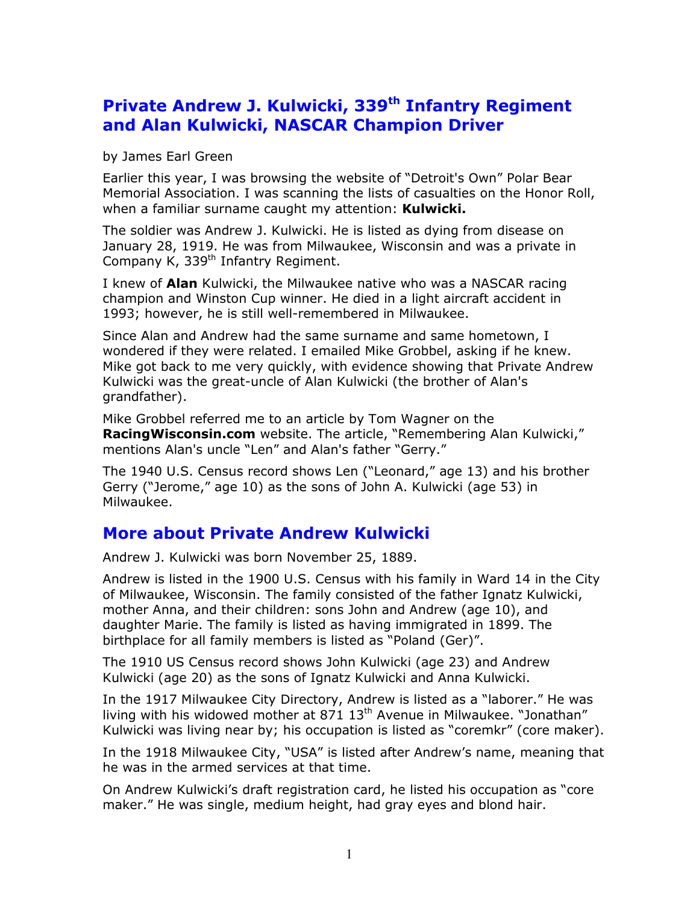## Private Andrew J. Kulwicki, 339<sup>th</sup> Infantry Regiment and Alan Kulwicki, NASCAR Champion Driver

by James Earl Green

Earlier this year, I was browsing the website of "Detroit's Own" Polar Bear Memorial Association. I was scanning the lists of casualties on the Honor Roll, when a familiar surname caught my attention: Kulwicki.

The soldier was Andrew J. Kulwicki. He is listed as dying from disease on January 28, 1919. He was from Milwaukee, Wisconsin and was a private in Company K, 339<sup>th</sup> Infantry Regiment.

I knew of **Alan** Kulwicki, the Milwaukee native who was a NASCAR racing champion and Winston Cup winner. He died in a light aircraft accident in 1993; however, he is still well-remembered in Milwaukee.

Since Alan and Andrew had the same surname and same hometown, I wondered if they were related. I emailed Mike Grobbel, asking if he knew. Mike got back to me very quickly, with evidence showing that Private Andrew Kulwicki was the great-uncle of Alan Kulwicki (the brother of Alan's grandfather).

Mike Grobbel referred me to an article by Tom Wagner on the Racing Wisconsin.com website. The article, "Remembering Alan Kulwicki," mentions Alan's uncle "Len" and Alan's father "Gerry."

The 1940 U.S. Census record shows Len ("Leonard," age 13) and his brother Gerry ("Jerome," age 10) as the sons of John A. Kulwicki (age 53) in Milwaukee.

## More about Private Andrew Kulwicki

Andrew J. Kulwicki was born November 25, 1889.

Andrew is listed in the 1900 U.S. Census with his family in Ward 14 in the City of Milwaukee, Wisconsin. The family consisted of the father Ignatz Kulwicki, mother Anna, and their children: sons John and Andrew (age 10), and daughter Marie. The family is listed as having immigrated in 1899. The birthplace for all family members is listed as "Poland (Ger)".

The 1910 US Census record shows John Kulwicki (age 23) and Andrew Kulwicki (age 20) as the sons of Ignatz Kulwicki and Anna Kulwicki.

In the 1917 Milwaukee City Directory, Andrew is listed as a "laborer." He was living with his widowed mother at  $871\,13^{th}$  Avenue in Milwaukee. "Jonathan" Kulwicki was living near by; his occupation is listed as "coremkr" (core maker).

In the 1918 Milwaukee City, "USA" is listed after Andrew's name, meaning that he was in the armed services at that time.

On Andrew Kulwicki's draft registration card, he listed his occupation as "core maker." He was single, medium height, had gray eyes and blond hair.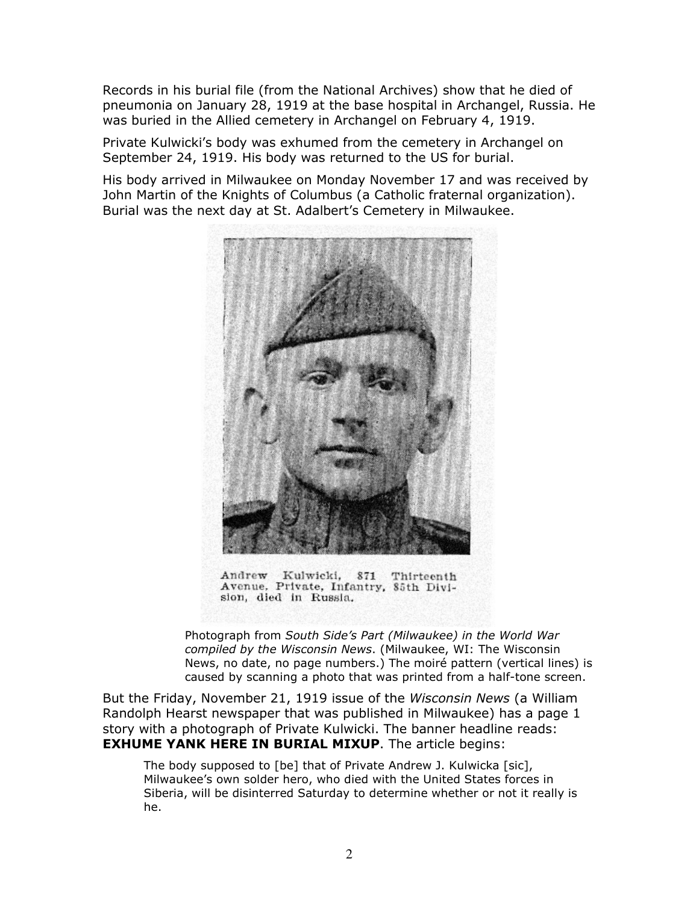Records in his burial file (from the National Archives) show that he died of pneumonia on January 28, 1919 at the base hospital in Archangel, Russia. He was buried in the Allied cemetery in Archangel on February 4, 1919.

Private Kulwicki's body was exhumed from the cemetery in Archangel on September 24, 1919. His body was returned to the US for burial.

His body arrived in Milwaukee on Monday November 17 and was received by John Martin of the Knights of Columbus (a Catholic fraternal organization). Burial was the next day at St. Adalbert's Cemetery in Milwaukee.



Andrew Kulwicki, 871 Thirteenth Avenue, Private, Infantry, 85th Division, died in Russia.

Photograph from South Side's Part (Milwaukee) in the World War compiled by the Wisconsin News. (Milwaukee, WI: The Wisconsin News, no date, no page numbers.) The moiré pattern (vertical lines) is caused by scanning a photo that was printed from a half-tone screen.

But the Friday, November 21, 1919 issue of the Wisconsin News (a William Randolph Hearst newspaper that was published in Milwaukee) has a page 1 story with a photograph of Private Kulwicki. The banner headline reads: **EXHUME YANK HERE IN BURIAL MIXUP.** The article begins:

The body supposed to [be] that of Private Andrew J. Kulwicka [sic], Milwaukee's own solder hero, who died with the United States forces in Siberia, will be disinterred Saturday to determine whether or not it really is he.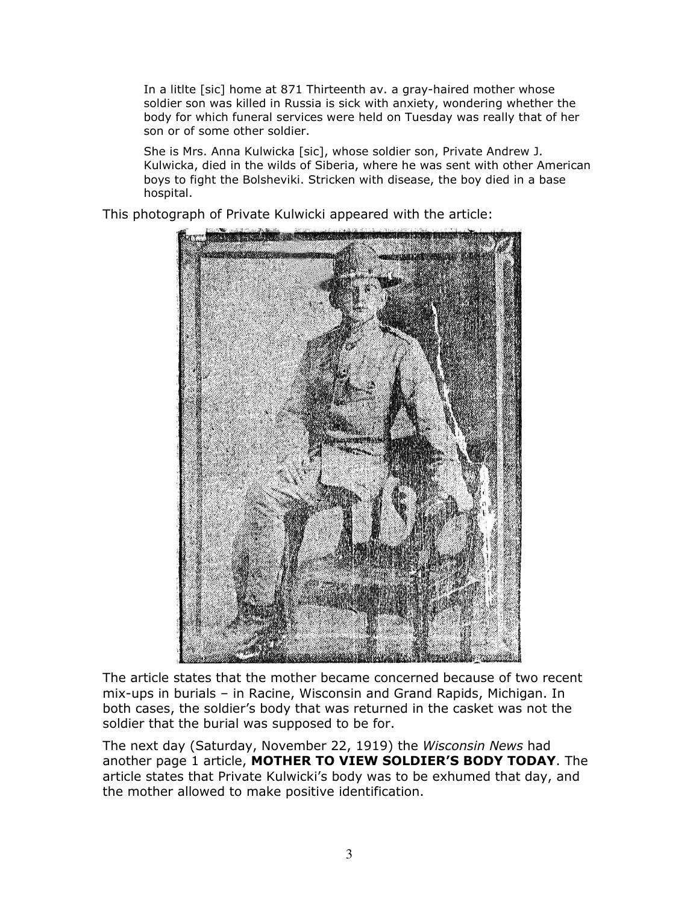In a litlte [sic] home at 871 Thirteenth av. a gray-haired mother whose soldier son was killed in Russia is sick with anxiety, wondering whether the body for which funeral services were held on Tuesday was really that of her son or of some other soldier.

She is Mrs. Anna Kulwicka [sic], whose soldier son, Private Andrew J. Kulwicka, died in the wilds of Siberia, where he was sent with other American boys to fight the Bolsheviki. Stricken with disease, the boy died in a base hospital.

This photograph of Private Kulwicki appeared with the article:



The article states that the mother became concerned because of two recent mix-ups in burials – in Racine, Wisconsin and Grand Rapids, Michigan. In both cases, the soldier's body that was returned in the casket was not the soldier that the burial was supposed to be for.

The next day (Saturday, November 22, 1919) the Wisconsin News had another page 1 article, MOTHER TO VIEW SOLDIER'S BODY TODAY. The article states that Private Kulwicki's body was to be exhumed that day, and the mother allowed to make positive identification.